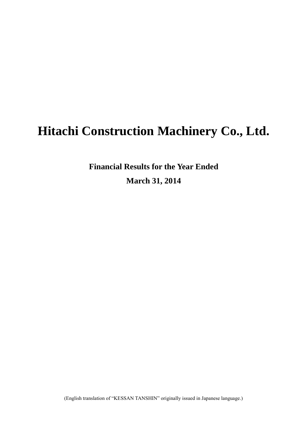# **Hitachi Construction Machinery Co., Ltd.**

**Financial Results for the Year Ended March 31, 2014**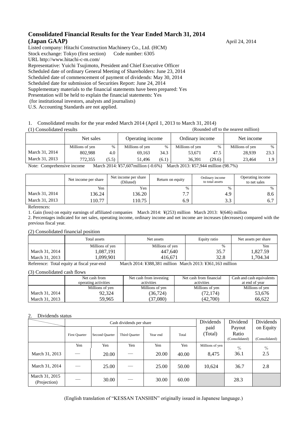#### **Consolidated Financial Results for the Year Ended March 31, 2014 (Japan GAAP)** April 24, 2014

Listed company: Hitachi Construction Machinery Co., Ltd. (HCM) Stock exchange: Tokyo (first section) Code number: 6305 URL http://www.hitachi-c-m.com/ Representative: Yuichi Tsujimoto, President and Chief Executive Officer Scheduled date of ordinary General Meeting of Shareholders: June 23, 2014 Scheduled date of commencement of payment of dividends: May 30, 2014 Scheduled date for submission of Securities Report: June 24, 2014 Supplementary materials to the financial statements have been prepared: Yes Presentation will be held to explain the financial statements: Yes (for institutional investors, analysts and journalists)

U.S. Accounting Standards are not applied.

#### 1. Consolidated results for the year ended March 2014 (April 1, 2013 to March 31, 2014)

(1) Consolidated results (Rounded off to the nearest million)

|                | Net sales       |       | Operating income            |                        | Ordinary income           |        | Net income      |      |
|----------------|-----------------|-------|-----------------------------|------------------------|---------------------------|--------|-----------------|------|
|                | Millions of yen | $\%$  | Millions of yen             | $\%$                   | Millions of yen           | %      | Millions of yen | $\%$ |
| March 31, 2014 | 802.988         | 4.0   | 69.163                      | 34.3                   | 53.671                    | 47.5   | 28.939          | 23.3 |
| March 31, 2013 | 772.355         | (5.5) | 51.496                      | (6.1)                  | 36.391                    | (29.6) | 23.464          | 1.9  |
| $\mathbf{v}$   | $\mathbf{r}$    |       | $0.014$ $17777$ $607$ $111$ | (0.62)<br>$\mathbf{r}$ | $0.010 \times T/T$ $0.11$ |        | (0.0.70)        |      |

Note: Comprehensive income March 2014: ¥57,607million (-0.6%) March 2013: ¥57,944 million (98.7%)

|                | Net income per share | Net income per share<br>(Diluted) | Return on equity | Ordinary income<br>to total assets | Operating income<br>to net sales |
|----------------|----------------------|-----------------------------------|------------------|------------------------------------|----------------------------------|
|                | Yen                  | Yen                               | $\%$             | $\%$                               |                                  |
| March 31, 2014 | 136.24               | 136.20                            | 77<br>. .        | 4.9                                | 8.6                              |
| March 31, 2013 | 10.77                | 110.75                            | 6.9              | 22<br>ر. ر                         | $\mathbf{b}$ .                   |

References:

1. Gain (loss) on equity earnings of affiliated companies March 2014: ¥(253) million March 2013: ¥(646) million

2. Percentages indicated for net sales, operating income, ordinary income and net income are increases (decreases) compared with the previous fiscal year.

#### (2) Consolidated financial position

|                | Total assets    | Net assets      | Equity ratio | Net assets per share |
|----------------|-----------------|-----------------|--------------|----------------------|
|                | Millions of yen | Millions of yen | %            | Yen                  |
| March 31, 2014 | 1,087,191       | 447.640         | 35.7         | 1,827.59             |
| March 31, 2013 | ,099,901        | 416.671         | 32.8         | .704.34              |

Reference: Total equity at fiscal year-end March 2014: ¥388,381 million March 2013: ¥361,163 million

#### (3) Consolidated cash flows

|                | Net cash from<br>operating activities | Net cash from investing<br>activities | Net cash from financial<br>activities | Cash and cash equivalents<br>at end of year |
|----------------|---------------------------------------|---------------------------------------|---------------------------------------|---------------------------------------------|
|                | Millions of yen                       | Millions of yen                       | Millions of yen                       | Millions of yen                             |
| March 31, 2014 | 92.324                                | (36,724)                              | (72, 174)                             | 53,676                                      |
| March 31, 2013 | 59.965                                | 37.080)                               | (42,700)                              | 66.622                                      |

#### 2. Dividends status

|                                |                      |                | Cash dividends per share | Dividends | Dividend | Dividends       |                                   |                             |
|--------------------------------|----------------------|----------------|--------------------------|-----------|----------|-----------------|-----------------------------------|-----------------------------|
|                                | <b>First Quarter</b> | Second Quarter | Third Quarter            | Year end  | Total    | paid<br>(Total) | Payout<br>Ratio<br>(Consolidated) | on Equity<br>(Consolidated) |
|                                | Yen                  | Yen            | Yen                      | Yen       | Yen      | Millions of yen | $\%$                              | $\%$                        |
| March 31, 2013                 |                      | 20.00          |                          | 20.00     | 40.00    | 8,475           | 36.1                              | 2.5                         |
| March 31, 2014                 |                      | 25.00          |                          | 25.00     | 50.00    | 10,624          | 36.7                              | 2.8                         |
| March 31, 2015<br>(Projection) |                      | 30.00          |                          | 30.00     | 60.00    |                 | 28.3                              |                             |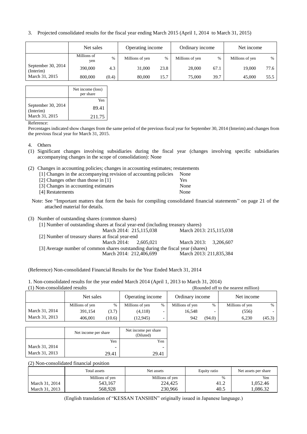3. Projected consolidated results for the fiscal year ending March 2015 (April 1, 2014 to March 31, 2015)

|                                   | Net sales          |       | Operating income |      | Ordinary income |      | Net income      |      |
|-----------------------------------|--------------------|-------|------------------|------|-----------------|------|-----------------|------|
|                                   | Millions of<br>yen | %     | Millions of yen  | $\%$ | Millions of yen | $\%$ | Millions of yen | $\%$ |
| September 30, $2014$<br>(Interim) | 390,000            | 4.3   | 31,000           | 23.8 | 28,000          | 67.1 | 19.000          | 77.6 |
| March 31, 2015                    | 800,000            | (0.4) | 80,000           | 15.7 | 75,000          | 39.7 | 45,000          | 55.5 |

|                                 | Net income (loss)<br>per share |
|---------------------------------|--------------------------------|
|                                 | Yen                            |
| September 30, 2014<br>(Interim) | 89.41                          |
| March 31, 2015                  | 211.75                         |
|                                 |                                |

Reference:

Percentages indicated show changes from the same period of the previous fiscal year for September 30, 2014 (Interim) and changes from the previous fiscal year for March 31, 2015.

- 4. Others
- (1) Significant changes involving subsidiaries during the fiscal year (changes involving specific subsidiaries accompanying changes in the scope of consolidation): None
- (2) Changes in accounting policies; changes in accounting estimates; restatements

| [1] Changes in the accompanying revision of accounting policies | None |
|-----------------------------------------------------------------|------|
| [2] Changes other than those in [1]                             | Yes  |
| [3] Changes in accounting estimates                             | None |
| [4] Restatements                                                | None |

- Note: See "Important matters that form the basis for compiling consolidated financial statements" on page 21 of the attached material for details.
- (3) Number of outstanding shares (common shares)

| [1] Number of outstanding shares at fiscal year-end (including treasury shares) |  |                         |  |  |  |  |  |
|---------------------------------------------------------------------------------|--|-------------------------|--|--|--|--|--|
| March 2014: 215,115,038                                                         |  | March 2013: 215,115,038 |  |  |  |  |  |
| [2] Number of treasury shares at fiscal year-end                                |  |                         |  |  |  |  |  |
| March $2014: 2.605.021$                                                         |  | March 2013: 3.206.607   |  |  |  |  |  |
| [3] Average number of common shares outstanding during the fiscal year (shares) |  |                         |  |  |  |  |  |
| March 2014: 212,406,699                                                         |  | March 2013: 211,835,384 |  |  |  |  |  |

(Reference) Non-consolidated Financial Results for the Year Ended March 31, 2014

1. Non-consolidated results for the year ended March 2014 (April 1, 2013 to March 31, 2014) (1) Non-consolidated results (Rounded off to the nearest million)

|                | Net sales       |        | Operating income |               | Ordinary income |        | Net income      |        |
|----------------|-----------------|--------|------------------|---------------|-----------------|--------|-----------------|--------|
|                | Millions of yen | $\%$   | Millions of yen  | $\frac{0}{0}$ | Millions of yen | $\%$   | Millions of yen | $\%$   |
| March 31, 2014 | 391.154         | (3.7)  | (4,118)          |               | 16.548          |        | (556)           |        |
| March 31, 2013 | 406.001         | (10.6) | (12, 945)        |               | 942             | (94.0) | 6.230           | (45.3) |

|                | Net income per share | Net income per share<br>(Diluted) |
|----------------|----------------------|-----------------------------------|
|                | Yen                  | Yen                               |
| March 31, 2014 |                      | -                                 |
| March 31, 2013 | 29.41                | 29 A                              |

(2) Non-consolidated financial position

|                | Total assets    | Net assets      | Equity ratio | Net assets per share |  |
|----------------|-----------------|-----------------|--------------|----------------------|--|
|                | Millions of yen | Millions of yen | $\%$         | Yen                  |  |
| March 31, 2014 | 543,167         | 224,425         | 41.2         | 1,052.46             |  |
| March 31, 2013 | 568.928         | 230,966         | 40.5         | .086.32              |  |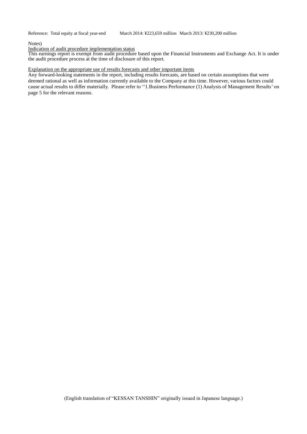#### Notes)

#### Indication of audit procedure implementation status

This earnings report is exempt from audit procedure based upon the Financial Instruments and Exchange Act. It is under the audit procedure process at the time of disclosure of this report.

#### Explanation on the appropriate use of results forecasts and other important items

Any forward-looking statements in the report, including results forecasts, are based on certain assumptions that were deemed rational as well as information currently available to the Company at this time. However, various factors could cause actual results to differ materially. Please refer to ''1.Business Performance (1) Analysis of Management Results' on page 5 for the relevant reasons.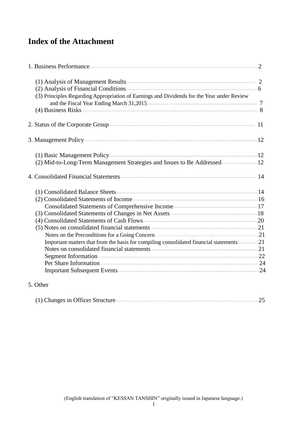# **Index of the Attachment**

| (2) Analysis of Financial Conditions 6                                                                                                                                                                                         |  |
|--------------------------------------------------------------------------------------------------------------------------------------------------------------------------------------------------------------------------------|--|
| (3) Principles Regarding Appropriation of Earnings and Dividends for the Year under Review                                                                                                                                     |  |
|                                                                                                                                                                                                                                |  |
|                                                                                                                                                                                                                                |  |
|                                                                                                                                                                                                                                |  |
| 2. Status of the Corporate Group <b>Exercise 2. Status</b> 11                                                                                                                                                                  |  |
| 3. Management Policy 22 and 22 and 22 and 22 and 23 and 24 and 25 and 25 and 25 and 26 and 26 and 26 and 26 and 26 and 26 and 26 and 26 and 26 and 26 and 26 and 26 and 26 and 26 and 26 and 26 and 26 and 26 and 26 and 26 an |  |
|                                                                                                                                                                                                                                |  |
| (2) Mid-to-Long-Term Management Strategies and Issues to Be Addressed 12                                                                                                                                                       |  |
|                                                                                                                                                                                                                                |  |
|                                                                                                                                                                                                                                |  |
|                                                                                                                                                                                                                                |  |
|                                                                                                                                                                                                                                |  |
|                                                                                                                                                                                                                                |  |
|                                                                                                                                                                                                                                |  |
|                                                                                                                                                                                                                                |  |
| Notes on the Preconditions for a Going Concern Committee of the Preconditions for a Going Concern                                                                                                                              |  |
| Important matters that from the basis for compiling consolidated financial statements21                                                                                                                                        |  |
| Notes on consolidated financial statements <b>manufactures</b> 21                                                                                                                                                              |  |
|                                                                                                                                                                                                                                |  |
|                                                                                                                                                                                                                                |  |
|                                                                                                                                                                                                                                |  |

# 5. Other

|--|--|--|--|--|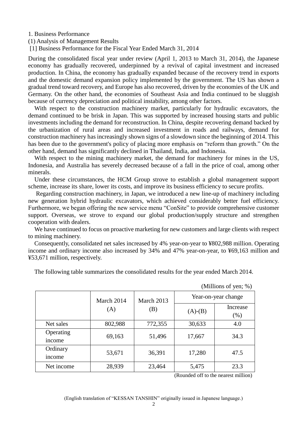1. Business Performance

(1) Analysis of Management Results

[1] Business Performance for the Fiscal Year Ended March 31, 2014

During the consolidated fiscal year under review (April 1, 2013 to March 31, 2014), the Japanese economy has gradually recovered, underpinned by a revival of capital investment and increased production. In China, the economy has gradually expanded because of the recovery trend in exports and the domestic demand expansion policy implemented by the government. The US has shown a gradual trend toward recovery, and Europe has also recovered, driven by the economies of the UK and Germany. On the other hand, the economies of Southeast Asia and India continued to be sluggish because of currency depreciation and political instability, among other factors.

With respect to the construction machinery market, particularly for hydraulic excavators, the demand continued to be brisk in Japan. This was supported by increased housing starts and public investments including the demand for reconstruction. In China, despite recovering demand backed by the urbanization of rural areas and increased investment in roads and railways, demand for construction machinery has increasingly shown signs of a slowdown since the beginning of 2014. This has been due to the government's policy of placing more emphasis on "reform than growth." On the other hand, demand has significantly declined in Thailand, India, and Indonesia.

With respect to the mining machinery market, the demand for machinery for mines in the US, Indonesia, and Australia has severely decreased because of a fall in the price of coal, among other minerals.

Under these circumstances, the HCM Group strove to establish a global management support scheme, increase its share, lower its costs, and improve its business efficiency to secure profits.

Regarding construction machinery, in Japan, we introduced a new line-up of machinery including new generation hybrid hydraulic excavators, which achieved considerably better fuel efficiency. Furthermore, we began offering the new service menu "ConSite" to provide comprehensive customer support. Overseas, we strove to expand our global production/supply structure and strengthen cooperation with dealers.

We have continued to focus on proactive marketing for new customers and large clients with respect to mining machinery.

Consequently, consolidated net sales increased by 4% year-on-year to ¥802,988 million. Operating income and ordinary income also increased by 34% and 47% year-on-year, to ¥69,163 million and ¥53,671 million, respectively.

The following table summarizes the consolidated results for the year ended March 2014.

|                     | March 2014 | March 2013 | Year-on-year change |                  |  |
|---------------------|------------|------------|---------------------|------------------|--|
|                     | (A)        | (B)        | $(A)$ - $(B)$       | Increase<br>(% ) |  |
| Net sales           | 802,988    | 772,355    | 30,633              | 4.0              |  |
| Operating<br>income | 69,163     | 51,496     | 17,667              | 34.3             |  |
| Ordinary<br>income  | 53,671     | 36,391     | 17,280              | 47.5             |  |
| Net income          | 28,939     | 23,464     | 5,475               | 23.3             |  |

(Millions of yen;  $\%$ )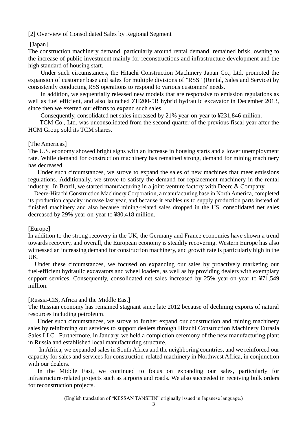#### [2] Overview of Consolidated Sales by Regional Segment

#### [Japan]

The construction machinery demand, particularly around rental demand, remained brisk, owning to the increase of public investment mainly for reconstructions and infrastructure development and the high standard of housing start.

Under such circumstances, the Hitachi Construction Machinery Japan Co., Ltd. promoted the expansion of customer base and sales for multiple divisions of "RSS" (Rental, Sales and Service) by consistently conducting RSS operations to respond to various customers' needs.

In addition, we sequentially released new models that are responsive to emission regulations as well as fuel efficient, and also launched ZH200-5B hybrid hydraulic excavator in December 2013, since then we exerted our efforts to expand such sales.

Consequently, consolidated net sales increased by 21% year-on-year to ¥231,846 million.

 TCM Co., Ltd. was unconsolidated from the second quarter of the previous fiscal year after the HCM Group sold its TCM shares.

#### [The Americas]

The U.S. economy showed bright signs with an increase in housing starts and a lower unemployment rate. While demand for construction machinery has remained strong, demand for mining machinery has decreased.

Under such circumstances, we strove to expand the sales of new machines that meet emissions regulations. Additionally, we strove to satisfy the demand for replacement machinery in the rental industry. In Brazil, we started manufacturing in a joint-venture factory with Deere & Company.

Deere-Hitachi Construction Machinery Corporation, a manufacturing base in North America, completed its production capacity increase last year, and because it enables us to supply production parts instead of finished machinery and also because mining-related sales dropped in the US, consolidated net sales decreased by 29% year-on-year to ¥80,418 million.

#### [Europe]

In addition to the strong recovery in the UK, the Germany and France economies have shown a trend towards recovery, and overall, the European economy is steadily recovering. Western Europe has also witnessed an increasing demand for construction machinery, and growth rate is particularly high in the UK.

Under these circumstances, we focused on expanding our sales by proactively marketing our fuel-efficient hydraulic excavators and wheel loaders, as well as by providing dealers with exemplary support services. Consequently, consolidated net sales increased by 25% year-on-year to ¥71,549 million.

#### [Russia-CIS, Africa and the Middle East]

The Russian economy has remained stagnant since late 2012 because of declining exports of natural resources including petroleum.

Under such circumstances, we strove to further expand our construction and mining machinery sales by reinforcing our services to support dealers through Hitachi Construction Machinery Eurasia Sales LLC. Furthermore, in January, we held a completion ceremony of the new manufacturing plant in Russia and established local manufacturing structure.

In Africa, we expanded sales in South Africa and the neighboring countries, and we reinforced our capacity for sales and services for construction-related machinery in Northwest Africa, in conjunction with our dealers.

In the Middle East, we continued to focus on expanding our sales, particularly for infrastructure-related projects such as airports and roads. We also succeeded in receiving bulk orders for reconstruction projects.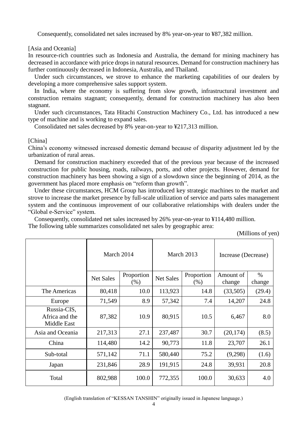Consequently, consolidated net sales increased by 8% year-on-year to ¥87,382 million.

#### [Asia and Oceania]

In resource-rich countries such as Indonesia and Australia, the demand for mining machinery has decreased in accordance with price drops in natural resources. Demand for construction machinery has further continuously decreased in Indonesia, Australia, and Thailand.

Under such circumstances, we strove to enhance the marketing capabilities of our dealers by developing a more comprehensive sales support system.

In India, where the economy is suffering from slow growth, infrastructural investment and construction remains stagnant; consequently, demand for construction machinery has also been stagnant.

Under such circumstances, Tata Hitachi Construction Machinery Co., Ltd. has introduced a new type of machine and is working to expand sales.

Consolidated net sales decreased by 8% year-on-year to ¥217,313 million.

#### [China]

China's economy witnessed increased domestic demand because of disparity adjustment led by the urbanization of rural areas.

Demand for construction machinery exceeded that of the previous year because of the increased construction for public housing, roads, railways, ports, and other projects. However, demand for construction machinery has been showing a sign of a slowdown since the beginning of 2014, as the government has placed more emphasis on "reform than growth".

Under these circumstances, HCM Group has introduced key strategic machines to the market and strove to increase the market presence by full-scale utilization of service and parts sales management system and the continuous improvement of our collaborative relationships with dealers under the "Global e-Service" system.

Consequently, consolidated net sales increased by 26% year-on-year to ¥114,480 million. The following table summarizes consolidated net sales by geographic area:

(Millions of yen)

|                                              | March 2014       |                       | March 2013       |                    | Increase (Decrease) |                |
|----------------------------------------------|------------------|-----------------------|------------------|--------------------|---------------------|----------------|
|                                              | <b>Net Sales</b> | Proportion<br>$(\% )$ | <b>Net Sales</b> | Proportion<br>(% ) | Amount of<br>change | $\%$<br>change |
| The Americas                                 | 80,418           | 10.0                  | 113,923          | 14.8               | (33,505)            | (29.4)         |
| Europe                                       | 71,549           | 8.9                   | 57,342           | 7.4                | 14,207              | 24.8           |
| Russia-CIS,<br>Africa and the<br>Middle East | 87,382           | 10.9                  | 80,915           | 10.5               | 6,467               | 8.0            |
| Asia and Oceania                             | 217,313          | 27.1                  | 237,487          | 30.7               | (20, 174)           | (8.5)          |
| China                                        | 114,480          | 14.2                  | 90,773           | 11.8               | 23,707              | 26.1           |
| Sub-total                                    | 571,142          | 71.1                  | 580,440          | 75.2               | (9,298)             | (1.6)          |
| Japan                                        | 231,846          | 28.9                  | 191,915          | 24.8               | 39,931              | 20.8           |
| Total                                        | 802,988          | 100.0                 | 772,355          | 100.0              | 30,633              | 4.0            |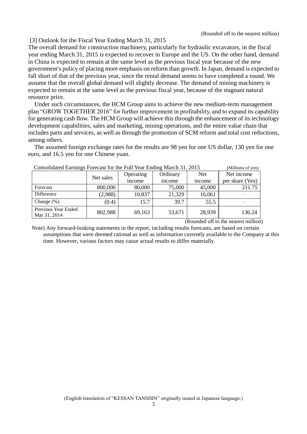(Rounded off to the nearest million)

#### [3] Outlook for the Fiscal Year Ending March 31, 2015

The overall demand for construction machinery, particularly for hydraulic excavators, in the fiscal year ending March 31, 2015 is expected to recover in Europe and the US. On the other hand, demand in China is expected to remain at the same level as the previous fiscal year because of the new government's policy of placing more emphasis on reform than growth. In Japan, demand is expected to fall short of that of the previous year, since the rental demand seems to have completed a round. We assume that the overall global demand will slightly decrease. The demand of mining machinery is expected to remain at the same level as the previous fiscal year, because of the stagnant natural resource price.

Under such circumstances, the HCM Group aims to achieve the new medium-term management plan "GROW TOGETHER 2016" for further improvement in profitability, and to expand its capability for generating cash flow. The HCM Group will achieve this through the enhancement of its technology development capabilities, sales and marketing, mining operations, and the entire value chain that includes parts and services, as well as through the promotion of SCM reform and total cost reductions, among others.

The assumed foreign exchange rates for the results are 98 yen for one US dollar, 130 yen for one euro, and 16.5 yen for one Chinese yuan.

| Consolidated Earlings Porceast for the Pull Tear Ending March 31, 2013<br>(IVIIIIIOIIS OL VEIL) |           |           |          |        |                 |
|-------------------------------------------------------------------------------------------------|-----------|-----------|----------|--------|-----------------|
|                                                                                                 | Net sales | Operating | Ordinary | Net    | Net income      |
|                                                                                                 |           | income    | income   | income | per share (Yen) |
| Forecast                                                                                        | 800,000   | 80,000    | 75,000   | 45,000 | 211.75          |
| Difference                                                                                      | (2,988)   | 10,837    | 21,329   | 16,061 |                 |
| Change $(\%)$                                                                                   | (0.4)     | 15.7      | 39.7     | 55.5   |                 |
| Previous Year Ended<br>Mar 31, 2014                                                             | 802,988   | 69,163    | 53,671   | 28,939 | 136.24          |

Consolidated Earnings Forecast for the Full Year Ending March 31, 2015 (Millions of yen)

(Rounded off to the nearest million)

Note) Any forward-looking statements in the report, including results forecasts, are based on certain assumptions that were deemed rational as well as information currently available to the Company at this time. However, various factors may cause actual results to differ materially.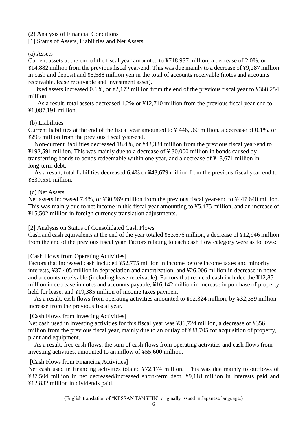## (2) Analysis of Financial Conditions

[1] Status of Assets, Liabilities and Net Assets

#### (a) Assets

Current assets at the end of the fiscal year amounted to ¥718,937 million, a decrease of 2.0%, or ¥14,882 million from the previous fiscal year-end. This was due mainly to a decrease of ¥9,287 million in cash and deposit and ¥5,588 million yen in the total of accounts receivable (notes and accounts receivable, lease receivable and investment asset).

Fixed assets increased 0.6%, or ¥2,172 million from the end of the previous fiscal year to ¥368,254 million.

As a result, total assets decreased 1.2% or ¥12,710 million from the previous fiscal year-end to ¥1,087,191 million.

#### (b) Liabilities

Current liabilities at the end of the fiscal year amounted to ¥ 446,960 million, a decrease of 0.1%, or ¥295 million from the previous fiscal year-end.

Non-current liabilities decreased 18.4%, or ¥43,384 million from the previous fiscal year-end to ¥192,591 million. This was mainly due to a decrease of ¥ 30,000 million in bonds caused by transferring bonds to bonds redeemable within one year, and a decrease of ¥18,671 million in long-term debt.

As a result, total liabilities decreased 6.4% or ¥43,679 million from the previous fiscal year-end to ¥639,551 million.

#### (c) Net Assets

Net assets increased 7.4%, or ¥30,969 million from the previous fiscal year-end to ¥447,640 million. This was mainly due to net income in this fiscal year amounting to ¥5,475 million, and an increase of ¥15,502 million in foreign currency translation adjustments.

#### [2] Analysis on Status of Consolidated Cash Flows

Cash and cash equivalents at the end of the year totaled ¥53,676 million, a decrease of ¥12,946 million from the end of the previous fiscal year. Factors relating to each cash flow category were as follows:

#### [Cash Flows from Operating Activities]

Factors that increased cash included ¥52,775 million in income before income taxes and minority interests, ¥37,405 million in depreciation and amortization, and ¥26,006 million in decrease in notes and accounts receivable (including lease receivable). Factors that reduced cash included the ¥12,851 million in decrease in notes and accounts payable, ¥16,142 million in increase in purchase of property held for lease, and ¥19,385 million of income taxes payment.

As a result, cash flows from operating activities amounted to ¥92,324 million, by ¥32,359 million increase from the previous fiscal year.

#### [Cash Flows from Investing Activities]

Net cash used in investing activities for this fiscal year was ¥36,724 million, a decrease of ¥356 million from the previous fiscal year, mainly due to an outlay of ¥38,705 for acquisition of property, plant and equipment.

As a result, free cash flows, the sum of cash flows from operating activities and cash flows from investing activities, amounted to an inflow of ¥55,600 million.

#### [Cash Flows from Financing Activities]

Net cash used in financing activities totaled ¥72,174 million. This was due mainly to outflows of ¥37,504 million in net decreased/increased short-term debt, ¥9,118 million in interests paid and ¥12,832 million in dividends paid.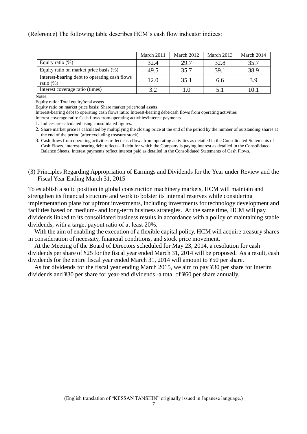(Reference) The following table describes HCM's cash flow indicator indices:

|                                                               | March 2011 | March 2012 | March 2013 | March 2014 |
|---------------------------------------------------------------|------------|------------|------------|------------|
| Equity ratio $(\%)$                                           | 32.4       | 29.7       | 32.8       | 35.7       |
| Equity ratio on market price basis (%)                        | 49.5       | 35.7       | 39.1       | 38.9       |
| Interest-bearing debt to operating cash flows<br>ratio $(\%)$ | 12.0       | 35.1       | 6.6        | 3.9        |
| Interest coverage ratio (times)                               |            |            | 5.1        | 10.1       |

Notes:

Equity ratio: Total equity/total assets

Equity ratio on market price basis: Share market price/total assets

Interest-bearing debt to operating cash flows ratio: Interest-bearing debt/cash flows from operating activities

Interest coverage ratio: Cash flows from operating activities/interest payments

1. Indices are calculated using consolidated figures.

2. Share market price is calculated by multiplying the closing price at the end of the period by the number of outstanding shares at the end of the period (after excluding treasury stock).

3. Cash flows from operating activities reflect cash flows from operating activities as detailed in the Consolidated Statements of Cash Flows. Interest-bearing debt reflects all debt for which the Company is paying interest as detailed in the Consolidated Balance Sheets. Interest payments reflect interest paid as detailed in the Consolidated Statements of Cash Flows.

(3) Principles Regarding Appropriation of Earnings and Dividends for the Year under Review and the Fiscal Year Ending March 31, 2015

To establish a solid position in global construction machinery markets, HCM will maintain and strengthen its financial structure and work to bolster its internal reserves while considering implementation plans for upfront investments, including investments for technology development and facilities based on medium- and long-term business strategies. At the same time, HCM will pay dividends linked to its consolidated business results in accordance with a policy of maintaining stable dividends, with a target payout ratio of at least 20%.

With the aim of enabling the execution of a flexible capital policy, HCM will acquire treasury shares in consideration of necessity, financial conditions, and stock price movement.

At the Meeting of the Board of Directors scheduled for May 23, 2014, a resolution for cash dividends per share of ¥25 for the fiscal year ended March 31, 2014 will be proposed. As a result, cash dividends for the entire fiscal year ended March 31, 2014 will amount to ¥50 per share.

As for dividends for the fiscal year ending March 2015, we aim to pay ¥30 per share for interim dividends and ¥30 per share for year-end dividends -a total of ¥60 per share annually.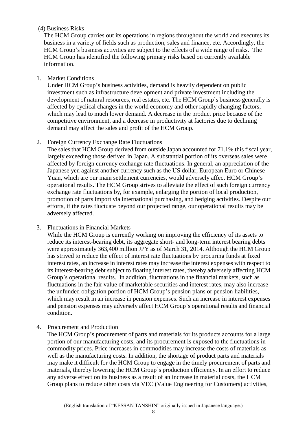# (4) Business Risks

The HCM Group carries out its operations in regions throughout the world and executes its business in a variety of fields such as production, sales and finance, etc. Accordingly, the HCM Group's business activities are subject to the effects of a wide range of risks. The HCM Group has identified the following primary risks based on currently available information.

# 1. Market Conditions

Under HCM Group's business activities, demand is heavily dependent on public investment such as infrastructure development and private investment including the development of natural resources, real estates, etc. The HCM Group's business generally is affected by cyclical changes in the world economy and other rapidly changing factors, which may lead to much lower demand. A decrease in the product price because of the competitive environment, and a decrease in productivity at factories due to declining demand may affect the sales and profit of the HCM Group.

# 2. Foreign Currency Exchange Rate Fluctuations

The sales that HCM Group derived from outside Japan accounted for 71.1% this fiscal year, largely exceeding those derived in Japan. A substantial portion of its overseas sales were affected by foreign currency exchange rate fluctuations. In general, an appreciation of the Japanese yen against another currency such as the US dollar, European Euro or Chinese Yuan, which are our main settlement currencies, would adversely affect HCM Group's operational results. The HCM Group strives to alleviate the effect of such foreign currency exchange rate fluctuations by, for example, enlarging the portion of local production, promotion of parts import via international purchasing, and hedging activities. Despite our efforts, if the rates fluctuate beyond our projected range, our operational results may be adversely affected.

# 3. Fluctuations in Financial Markets

While the HCM Group is currently working on improving the efficiency of its assets to reduce its interest-bearing debt, its aggregate short- and long-term interest bearing debts were approximately 363,400 million JPY as of March 31, 2014. Although the HCM Group has strived to reduce the effect of interest rate fluctuations by procuring funds at fixed interest rates, an increase in interest rates may increase the interest expenses with respect to its interest-bearing debt subject to floating interest rates, thereby adversely affecting HCM Group's operational results. In addition, fluctuations in the financial markets, such as fluctuations in the fair value of marketable securities and interest rates, may also increase the unfunded obligation portion of HCM Group's pension plans or pension liabilities, which may result in an increase in pension expenses. Such an increase in interest expenses and pension expenses may adversely affect HCM Group's operational results and financial condition.

# 4. Procurement and Production

The HCM Group's procurement of parts and materials for its products accounts for a large portion of our manufacturing costs, and its procurement is exposed to the fluctuations in commodity prices. Price increases in commodities may increase the costs of materials as well as the manufacturing costs. In addition, the shortage of product parts and materials may make it difficult for the HCM Group to engage in the timely procurement of parts and materials, thereby lowering the HCM Group's production efficiency. In an effort to reduce any adverse effect on its business as a result of an increase in material costs, the HCM Group plans to reduce other costs via VEC (Value Engineering for Customers) activities,

8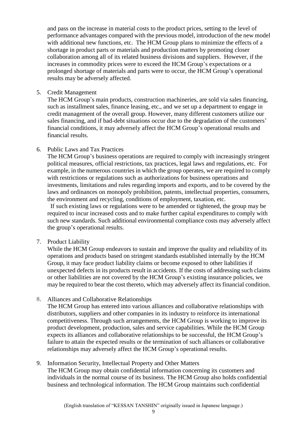and pass on the increase in material costs to the product prices, setting to the level of performance advantages compared with the previous model, introduction of the new model with additional new functions, etc. The HCM Group plans to minimize the effects of a shortage in product parts or materials and production matters by promoting closer collaboration among all of its related business divisions and suppliers. However, if the increases in commodity prices were to exceed the HCM Group's expectations or a prolonged shortage of materials and parts were to occur, the HCM Group's operational results may be adversely affected.

5. Credit Management

The HCM Group's main products, construction machineries, are sold via sales financing, such as installment sales, finance leasing, etc., and we set up a department to engage in credit management of the overall group. However, many different customers utilize our sales financing, and if bad-debt situations occur due to the degradation of the customers' financial conditions, it may adversely affect the HCM Group's operational results and financial results.

# 6. Public Laws and Tax Practices

The HCM Group's business operations are required to comply with increasingly stringent political measures, official restrictions, tax practices, legal laws and regulations, etc. For example, in the numerous countries in which the group operates, we are required to comply with restrictions or regulations such as authorizations for business operations and investments, limitations and rules regarding imports and exports, and to be covered by the laws and ordinances on monopoly prohibition, patents, intellectual properties, consumers, the environment and recycling, conditions of employment, taxation, etc.

If such existing laws or regulations were to be amended or tightened, the group may be required to incur increased costs and to make further capital expenditures to comply with such new standards. Such additional environmental compliance costs may adversely affect the group's operational results.

7. Product Liability

While the HCM Group endeavors to sustain and improve the quality and reliability of its operations and products based on stringent standards established internally by the HCM Group, it may face product liability claims or become exposed to other liabilities if unexpected defects in its products result in accidents. If the costs of addressing such claims or other liabilities are not covered by the HCM Group's existing insurance policies, we may be required to bear the cost thereto, which may adversely affect its financial condition.

8. Alliances and Collaborative Relationships

The HCM Group has entered into various alliances and collaborative relationships with distributors, suppliers and other companies in its industry to reinforce its international competitiveness. Through such arrangements, the HCM Group is working to improve its product development, production, sales and service capabilities. While the HCM Group expects its alliances and collaborative relationships to be successful, the HCM Group's failure to attain the expected results or the termination of such alliances or collaborative relationships may adversely affect the HCM Group's operational results.

9. Information Security, Intellectual Property and Other Matters The HCM Group may obtain confidential information concerning its customers and individuals in the normal course of its business. The HCM Group also holds confidential business and technological information. The HCM Group maintains such confidential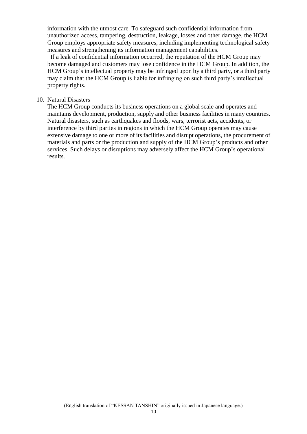information with the utmost care. To safeguard such confidential information from unauthorized access, tampering, destruction, leakage, losses and other damage, the HCM Group employs appropriate safety measures, including implementing technological safety measures and strengthening its information management capabilities.

If a leak of confidential information occurred, the reputation of the HCM Group may become damaged and customers may lose confidence in the HCM Group. In addition, the HCM Group's intellectual property may be infringed upon by a third party, or a third party may claim that the HCM Group is liable for infringing on such third party's intellectual property rights.

#### 10. Natural Disasters

The HCM Group conducts its business operations on a global scale and operates and maintains development, production, supply and other business facilities in many countries. Natural disasters, such as earthquakes and floods, wars, terrorist acts, accidents, or interference by third parties in regions in which the HCM Group operates may cause extensive damage to one or more of its facilities and disrupt operations, the procurement of materials and parts or the production and supply of the HCM Group's products and other services. Such delays or disruptions may adversely affect the HCM Group's operational results.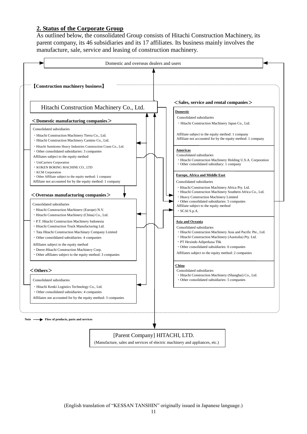## **2. Status of the Corporate Group**

As outlined below, the consolidated Group consists of Hitachi Construction Machinery, its parent company, its 46 subsidiaries and its 17 affiliates. Its business mainly involves the manufacture, sale, service and leasing of construction machinery.

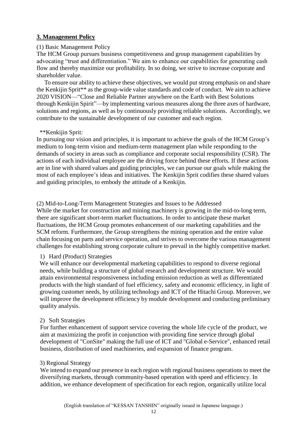# **3. Management Policy**

## (1) Basic Management Policy

The HCM Group pursues business competitiveness and group management capabilities by advocating "trust and differentiation." We aim to enhance our capabilities for generating cash flow and thereby maximize our profitability. In so doing, we strive to increase corporate and shareholder value.

To ensure our ability to achieve these objectives, we would put strong emphasis on and share the Kenkijin Sprit\*\* as the group-wide value standards and code of conduct. We aim to achieve 2020 VISION—"Close and Reliable Partner anywhere on the Earth with Best Solutions through Kenkijin Spirit"—by implementing various measures along the three axes of hardware, solutions and regions, as well as by continuously providing reliable solutions. Accordingly, we contribute to the sustainable development of our customer and each region.

### \*\*Kenkijin Sprit:

In pursuing our vision and principles, it is important to achieve the goals of the HCM Group's medium to long-term vision and medium-term management plan while responding to the demands of society in areas such as compliance and corporate social responsibility (CSR). The actions of each individual employee are the driving force behind these efforts. If these actions are in line with shared values and guiding principles, we can pursue our goals while making the most of each employee's ideas and initiatives. The Kenkijin Sprit codifies these shared values and guiding principles, to embody the attitude of a Kenkijin.

# (2) Mid-to-Long-Term Management Strategies and Issues to be Addressed

While the market for construction and mining machinery is growing in the mid-to-long term, there are significant short-term market fluctuations. In order to anticipate these market fluctuations, the HCM Group promotes enhancement of our marketing capabilities and the SCM reform. Furthermore, the Group strengthens the mining operation and the entire value chain focusing on parts and service operation, and strives to overcome the various management challenges for establishing strong corporate culture to prevail in the highly competitive market.

# 1) Hard (Product) Strategies

We will enhance our developmental marketing capabilities to respond to diverse regional needs, while building a structure of global research and development structure. We would attain environmental responsiveness including emission reduction as well as differentiated products with the high standard of fuel efficiency, safety and economic efficiency, in light of growing customer needs, by utilizing technology and ICT of the Hitachi Group. Moreover, we will improve the development efficiency by module development and conducting preliminary quality analysis.

#### 2) Soft Strategies

For further enhancement of support service covering the whole life cycle of the product, we aim at maximizing the profit in conjunction with providing fine service through global development of "ConSite" making the full use of ICT and "Global e-Service", enhanced retail business, distribution of used machineries, and expansion of finance program.

#### 3) Regional Strategy

We intend to expand our presence in each region with regional business operations to meet the diversifying markets, through community-based operation with speed and efficiency. In addition, we enhance development of specification for each region, organically utilize local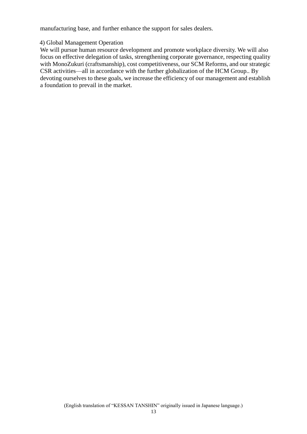manufacturing base, and further enhance the support for sales dealers.

#### 4) Global Management Operation

We will pursue human resource development and promote workplace diversity. We will also focus on effective delegation of tasks, strengthening corporate governance, respecting quality with MonoZukuri (craftsmanship), cost competitiveness, our SCM Reforms, and our strategic CSR activities—all in accordance with the further globalization of the HCM Group.. By devoting ourselves to these goals, we increase the efficiency of our management and establish a foundation to prevail in the market.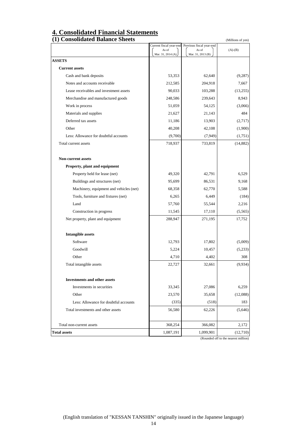# **4. Consolidated Financial Statements**

| (1) Consolidated Balance Sheets         |                   |                                                           | (Millions of yen) |
|-----------------------------------------|-------------------|-----------------------------------------------------------|-------------------|
|                                         | As of             | Current fiscal year-end Previous fiscal year-end<br>As of | $(A)-(B)$         |
|                                         | Mar. 31, 2014 (A) | Mar. 31, 2013 (B)                                         |                   |
| <b>ASSETS</b>                           |                   |                                                           |                   |
| <b>Current assets</b>                   |                   |                                                           |                   |
| Cash and bank deposits                  | 53,353            | 62,640                                                    | (9, 287)          |
| Notes and accounts receivable           | 212,585           | 204,918                                                   | 7,667             |
| Lease receivables and investment assets | 90,033            | 103,288                                                   | (13,255)          |
| Merchandise and manufactured goods      | 248,586           | 239,643                                                   | 8,943             |
| Work in process                         | 51,059            | 54,125                                                    | (3,066)           |
| Materials and supplies                  | 21,627            | 21,143                                                    | 484               |
| Deferred tax assets                     | 11,186            | 13,903                                                    | (2,717)           |
| Other                                   | 40,208            | 42,108                                                    | (1,900)           |
| Less: Allowance for doubtful accounts   | (9,700)           | (7, 949)                                                  | (1,751)           |
| Total current assets                    | 718,937           | 733,819                                                   | (14, 882)         |
| <b>Non-current assets</b>               |                   |                                                           |                   |
| Property, plant and equipment           |                   |                                                           |                   |
| Property held for lease (net)           | 49,320            | 42,791                                                    | 6,529             |
| Buildings and structures (net)          | 95,699            | 86,531                                                    | 9,168             |
| Machinery, equipment and vehicles (net) | 68,358            | 62,770                                                    | 5,588             |
| Tools, furniture and fixtures (net)     | 6,265             | 6,449                                                     | (184)             |
| Land                                    | 57,760            | 55,544                                                    | 2,216             |
| Construction in progress                | 11,545            | 17,110                                                    | (5, 565)          |
| Net property, plant and equipment       | 288,947           | 271,195                                                   | 17,752            |
| <b>Intangible assets</b>                |                   |                                                           |                   |
| Software                                | 12,793            | 17,802                                                    | (5,009)           |
| Goodwill                                | 5,224             | 10,457                                                    | (5,233)           |
| Other                                   | 4,710             | 4,402                                                     | 308               |
| Total intangible assets                 | 22,727            | 32,661                                                    | (9,934)           |
| <b>Investments and other assets</b>     |                   |                                                           |                   |
| Investments in securities               | 33,345            | 27,086                                                    | 6,259             |
| Other                                   | 23,570            | 35,658                                                    | (12,088)          |
| Less: Allowance for doubtful accounts   | (335)             | (518)                                                     | 183               |
| Total investments and other assets      | 56,580            | 62,226                                                    | (5,646)           |
|                                         |                   |                                                           |                   |
| Total non-current assets                | 368,254           | 366,082                                                   | 2,172             |
| <b>Total assets</b>                     | 1,087,191         | 1,099,901                                                 | (12,710)          |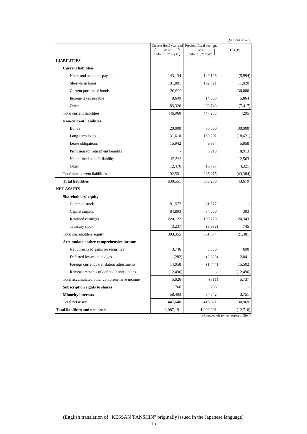(Millions of yen)

|                                              | Current fiscal year-end<br>As of | Previous fiscal year-end<br>As of | $(A)-(B)$ |
|----------------------------------------------|----------------------------------|-----------------------------------|-----------|
|                                              | Mar. 31, 2014 (A)                | Mar. 31, 2013 (B)                 |           |
| <b>LIABILITIES</b>                           |                                  |                                   |           |
| <b>Current liabilities</b>                   |                                  |                                   |           |
| Notes and accounts payable                   | 143,134                          | 149,128                           | (5,994)   |
| Short-term loans                             | 181,801                          | 192,821                           | (11,020)  |
| Current portion of bonds                     | 30,000                           |                                   | 30,000    |
| Income taxes payable                         | 8,699                            | 14,563                            | (5,864)   |
| Other                                        | 83,326                           | 90,743                            | (7, 417)  |
| Total current liabilities                    | 446,960                          | 447,255                           | (295)     |
| <b>Non-current liabilities</b>               |                                  |                                   |           |
| <b>Bonds</b>                                 | 20,000                           | 50,000                            | (30,000)  |
| Long-term loans                              | 131,610                          | 150,281                           | (18,671)  |
| Lease obligations                            | 15,942                           | 9,984                             | 5,958     |
| Provision for retirement benefits            |                                  | 8,913                             | (8,913)   |
| Net defined benefit liability                | 12,563                           |                                   | 12,563    |
| Other                                        | 12,476                           | 16,797                            | (4,321)   |
| Total non-current liabilities                | 192,591                          | 235,975                           | (43, 384) |
| <b>Total liabilities</b>                     | 639,551                          | 683,230                           | (43,679)  |
| <b>NET ASSETS</b>                            |                                  |                                   |           |
| Shareholders' equity                         |                                  |                                   |           |
| Common stock                                 | 81,577                           | 81,577                            |           |
| Capital surplus                              | 84,893                           | 84,500                            | 393       |
| Retained earnings                            | 220,122                          | 199,779                           | 20,343    |
| Treasury stock                               | (3,237)                          | (3,982)                           | 745       |
| Total shareholders' equity                   | 383,355                          | 361,874                           | 21,481    |
| Accumulated other comprehensive income       |                                  |                                   |           |
| Net unrealized gains on securities           | 3,746                            | 3,056                             | 690       |
| Deferred losses on hedges                    | (282)                            | (2, 323)                          | 2,041     |
| Foreign currency translation adjustments     | 14,058                           | (1, 444)                          | 15,502    |
| Remeasurements of defined benefit plans      | (12, 496)                        |                                   | (12, 496) |
| Total accumulated other comprehensive income | 5,026                            | (711)                             | 5,737     |
| Subscription rights to shares                | 766                              | 766                               |           |
| <b>Minority interests</b>                    | 58,493                           | 54,742                            | 3,751     |
| Total net assets                             | 447,640                          | 416,671                           | 30,969    |
| <b>Total liabilities and net assets</b>      | 1,087,191                        | 1,099,901                         | (12,710)  |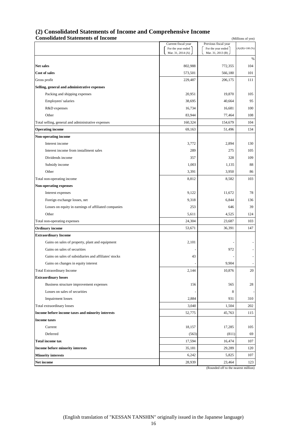#### **(2) Consolidated Statements of Income and Comprehensive Income Consolidated Statements of Income** (Millions of yen) **Consolidated Statements of Income**

|                                                       | Current fiscal year                     | Previous fiscal year                    |                         |
|-------------------------------------------------------|-----------------------------------------|-----------------------------------------|-------------------------|
|                                                       | For the year ended<br>Mar. 31, 2014 (A) | For the year ended<br>Mar. 31, 2013 (B) | $(A)/(B)\times 100$ (%) |
|                                                       |                                         |                                         | %                       |
| <b>Net sales</b>                                      | 802,988                                 | 772,355                                 | 104                     |
| <b>Cost of sales</b>                                  | 573,501                                 | 566,180                                 | 101                     |
| Gross profit                                          | 229,487                                 | 206,175                                 | 111                     |
| Selling, general and administrative expenses          |                                         |                                         |                         |
| Packing and shipping expenses                         | 20,951                                  | 19,870                                  | 105                     |
| Employees' salaries                                   | 38,695                                  | 40,664                                  | 95                      |
| R&D expenses                                          | 16,734                                  | 16,681                                  | 100                     |
| Other                                                 | 83,944                                  | 77,464                                  | 108                     |
| Total selling, general and administrative expenses    | 160,324                                 | 154,679                                 | 104                     |
| <b>Operating income</b>                               | 69,163                                  | 51,496                                  | 134                     |
| Non-operating income                                  |                                         |                                         |                         |
| Interest income                                       | 3,772                                   | 2,894                                   | 130                     |
| Interest income from installment sales                | 289                                     | 275                                     | 105                     |
| Dividends income                                      | 357                                     | 328                                     | 109                     |
| Subsidy income                                        | 1,003                                   | 1,135                                   | 88                      |
| Other                                                 | 3,391                                   | 3,950                                   | 86                      |
| Total non-operating income                            | 8,812                                   | 8,582                                   | 103                     |
| <b>Non-operating expenses</b>                         |                                         |                                         |                         |
| Interest expenses                                     | 9,122                                   | 11,672                                  | 78                      |
| Foreign exchange losses, net                          | 9,318                                   | 6,844                                   | 136                     |
| Losses on equity in earnings of affiliated companies  | 253                                     | 646                                     | 39                      |
| Other                                                 | 5,611                                   | 4,525                                   | 124                     |
| Total non-operating expenses                          | 24,304                                  | 23,687                                  | 103                     |
| <b>Ordinary income</b>                                | 53,671                                  | 36,391                                  | 147                     |
| <b>Extraordinary Income</b>                           |                                         |                                         |                         |
| Gains on sales of property, plant and equipment       | 2,101                                   |                                         |                         |
| Gains on sales of securities                          |                                         | 972                                     |                         |
| Gains on sales of subsidiaries and affiliates' stocks | 43                                      |                                         |                         |
| Gains on changes in equity interest                   |                                         | 9,904                                   |                         |
| Total Extraordinary Income                            | 2,144                                   | 10,876                                  | 20                      |
| <b>Extraordinary losses</b>                           |                                         |                                         |                         |
| Business structure improvement expenses               | 156                                     | 565                                     | 28                      |
| Losses on sales of securities                         |                                         | 8                                       |                         |
| <b>Impairment</b> losses                              | 2,884                                   | 931                                     | 310                     |
| Total extraordinary losses                            | 3,040                                   | 1,504                                   | 202                     |
| Income before income taxes and minority interests     | 52,775                                  | 45,763                                  | 115                     |
| <b>Income taxes</b>                                   |                                         |                                         |                         |
| Current                                               | 18,157                                  | 17,285                                  | 105                     |
| Deferred                                              | (563)                                   | (811)                                   | 69                      |
| <b>Total income tax</b>                               | 17,594                                  | 16,474                                  | 107                     |
| Income before minority interests                      | 35,181                                  | 29,289                                  | 120                     |
| <b>Minority interests</b>                             | 6,242                                   | 5,825                                   | 107                     |
| Net income                                            | 28,939                                  | 23,464                                  | 123                     |
|                                                       |                                         | (Rounded off to the nearest million)    |                         |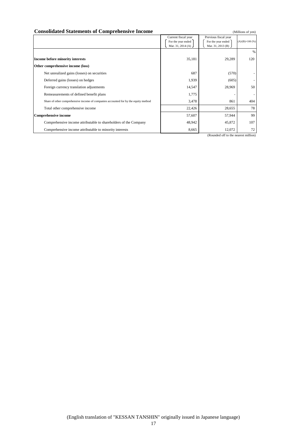#### **Consolidated Statements of Comprehensive Income** (Millions of yen)

|                                                                                     | Current fiscal year | Previous fiscal year     |                         |
|-------------------------------------------------------------------------------------|---------------------|--------------------------|-------------------------|
|                                                                                     | For the year ended  | For the year ended       | $(A)/(B)\times 100$ (%) |
|                                                                                     | Mar. 31, 2014 (A)   | Mar. 31, 2013 (B) $\int$ |                         |
|                                                                                     |                     |                          | %                       |
| Income before minority interests                                                    | 35,181              | 29,289                   | 120                     |
| Other comprehensive income (loss)                                                   |                     |                          |                         |
| Net unrealized gains (losses) on securities                                         | 687                 | (570)                    |                         |
| Deferred gains (losses) on hedges                                                   | 1,939               | (605)                    |                         |
| Foreign currency translation adjustments                                            | 14,547              | 28,969                   | 50                      |
| Remeasurements of defined benefit plans                                             | 1,775               |                          | $\sim$                  |
| Share of other comprehensive income of companies accounted for by the equity method | 3,478               | 861                      | 404                     |
| Total other comprehensive income                                                    | 22,426              | 28,655                   | 78                      |
| <b>Comprehensive income</b>                                                         | 57,607              | 57,944                   | 99                      |
| Comprehensive income attributable to shareholders of the Company                    | 48,942              | 45,872                   | 107                     |
| Comprehensive income attributable to minority interests                             | 8,665               | 12,072                   | 72                      |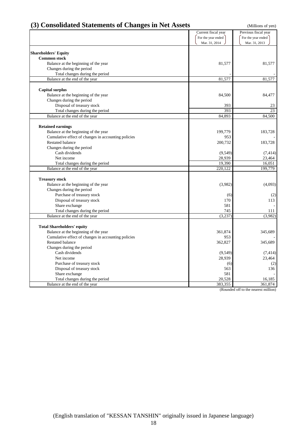| (3) Consolidated Statements of Changes in Net Assets |                     | (Millions of yen)    |
|------------------------------------------------------|---------------------|----------------------|
|                                                      | Current fiscal year | Previous fiscal year |
|                                                      | For the year ended  | For the year ended   |
|                                                      | Mar. 31, 2014       | Mar. 31, 2013        |
| <b>Shareholders' Equity</b>                          |                     |                      |
| <b>Common stock</b>                                  |                     |                      |
| Balance at the beginning of the year                 | 81,577              | 81,577               |
| Changes during the period                            |                     |                      |
| Total changes during the period                      |                     |                      |
| Balance at the end of the year                       | 81,577              | 81,577               |
|                                                      |                     |                      |
| <b>Capital surplus</b>                               |                     |                      |
| Balance at the beginning of the year                 | 84,500              | 84,477               |
| Changes during the period                            |                     |                      |
| Disposal of treasury stock                           | 393                 | 23                   |
| Total changes during the period                      | 393                 | 23                   |
| Balance at the end of the year                       | 84,893              | 84,500               |
|                                                      |                     |                      |
| <b>Retained earnings</b>                             |                     |                      |
| Balance at the beginning of the year                 | 199,779             | 183,728              |
| Cumulative effect of changes in accounting policies  | 953                 |                      |
| <b>Restated balance</b>                              | 200,732             | 183,728              |
| Changes during the period                            |                     |                      |
| Cash dividends                                       | (9, 549)            | (7, 414)             |
| Net income                                           | 28,939              | 23,464               |
| Total changes during the period                      | 19,390              | 16,051               |
| Balance at the end of the year                       | 220,122             | 199,779              |
| <b>Treasury stock</b>                                |                     |                      |
| Balance at the beginning of the year                 | (3,982)             | (4,093)              |
| Changes during the period                            |                     |                      |
| Purchase of treasury stock                           | (6)                 | (2)                  |
| Disposal of treasury stock                           | 170                 | 113                  |
| Share exchange                                       | 581                 |                      |
| Total changes during the period                      | 745                 | 111                  |
| Balance at the end of the year                       | (3,237)             | (3,982)              |
|                                                      |                     |                      |
| <b>Total Shareholders' equity</b>                    |                     |                      |
| Balance at the beginning of the year                 | 361,874             | 345,689              |
| Cumulative effect of changes in accounting policies  | 953                 |                      |
| <b>Restated balance</b>                              | 362,827             | 345,689              |
| Changes during the period                            |                     |                      |
| Cash dividends                                       | (9, 549)            | (7, 414)             |
| Net income                                           | 28,939              | 23,464               |
| Purchase of treasury stock                           | (6)                 | (2)                  |
| Disposal of treasury stock                           | 563                 | 136                  |
| Share exchange                                       | 581                 |                      |
| Total changes during the period                      | 20,528              | 16,185               |
| Balance at the end of the year                       | 383,355             | 361,874              |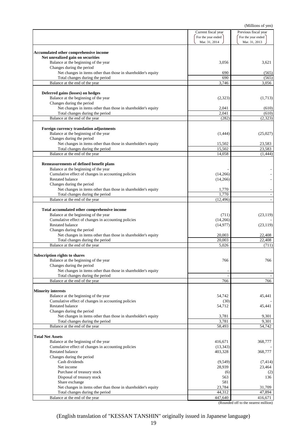|                                                                                             | Current fiscal year | Previous fiscal year |
|---------------------------------------------------------------------------------------------|---------------------|----------------------|
|                                                                                             | For the year ended  | For the year ended   |
|                                                                                             | Mar. 31, 2014       | Mar. 31, 2013        |
| Accumulated other comprehensive income                                                      |                     |                      |
| Net unrealized gain on securities                                                           |                     |                      |
| Balance at the beginning of the year                                                        | 3,056               | 3,621                |
| Changes during the period                                                                   |                     |                      |
| Net changes in items other than those in shareholder's equity                               | 690                 | (565)                |
| Total changes during the period                                                             | 690                 | (565)                |
| Balance at the end of the year                                                              | 3,746               | 3,056                |
|                                                                                             |                     |                      |
| Deferred gains (losses) on hedges                                                           |                     |                      |
| Balance at the beginning of the year                                                        | (2,323)             | (1,713)              |
| Changes during the period                                                                   |                     |                      |
| Net changes in items other than those in shareholder's equity                               | 2,041               | (610)                |
| Total changes during the period<br>Balance at the end of the year                           | 2,041               | (610)                |
|                                                                                             | (282)               | (2, 323)             |
| Foreign currency translation adjustments                                                    |                     |                      |
| Balance at the beginning of the year                                                        | (1,444)             | (25,027)             |
| Changes during the period                                                                   |                     |                      |
| Net changes in items other than those in shareholder's equity                               | 15,502              | 23,583               |
| Total changes during the period                                                             | 15,502              | 23,583               |
| Balance at the end of the year                                                              | 14,058              | (1, 444)             |
|                                                                                             |                     |                      |
| Remeasurements of defined benefit plans                                                     |                     |                      |
| Balance at the beginning of the year                                                        |                     |                      |
| Cumulative effect of changes in accounting policies                                         | (14,266)            |                      |
| <b>Restated balance</b>                                                                     | (14,266)            |                      |
| Changes during the period                                                                   |                     |                      |
| Net changes in items other than those in shareholder's equity                               | 1,770               |                      |
| Total changes during the period                                                             | 1,770               |                      |
| Balance at the end of the year                                                              | (12, 496)           |                      |
|                                                                                             |                     |                      |
| Total accumulated other comprehensive income                                                |                     |                      |
| Balance at the beginning of the year<br>Cumulative effect of changes in accounting policies | (711)<br>(14,266)   | (23, 119)            |
| <b>Restated balance</b>                                                                     |                     |                      |
| Changes during the period                                                                   | (14, 977)           | (23, 119)            |
| Net changes in items other than those in shareholder's equity                               | 20,003              | 22,408               |
| Total changes during the period                                                             | 20,003              | 22,408               |
| Balance at the end of the year                                                              | 5,026               | (711)                |
|                                                                                             |                     |                      |
| Subscription rights to shares                                                               |                     |                      |
| Balance at the beginning of the year                                                        | 766                 | 766                  |
| Changes during the period                                                                   |                     |                      |
| Net changes in items other than those in shareholder's equity                               |                     |                      |
| Total changes during the period                                                             |                     |                      |
| Balance at the end of the year                                                              | 766                 | 766                  |
|                                                                                             |                     |                      |
| <b>Minority interests</b>                                                                   |                     |                      |
| Balance at the beginning of the year<br>Cumulative effect of changes in accounting policies | 54,742<br>(30)      | 45,441               |
| <b>Restated balance</b>                                                                     | 54,712              | 45,441               |
| Changes during the period                                                                   |                     |                      |
| Net changes in items other than those in shareholder's equity                               | 3,781               | 9,301                |
| Total changes during the period                                                             | 3,781               | 9,301                |
| Balance at the end of the year                                                              | 58,493              | 54,742               |
|                                                                                             |                     |                      |
| <b>Total Net Assets</b>                                                                     |                     |                      |
| Balance at the beginning of the year                                                        | 416,671             | 368,777              |
| Cumulative effect of changes in accounting policies                                         | (13, 343)           |                      |
| <b>Restated balance</b>                                                                     | 403,328             | 368,777              |
| Changes during the period                                                                   |                     |                      |
| Cash dividends                                                                              | (9, 549)            | (7, 414)             |
| Net income                                                                                  | 28,939              | 23,464               |
| Purchase of treasury stock                                                                  | (6)                 | (2)                  |
| Disposal of treasury stock                                                                  | 563                 | 136                  |
| Share exchange                                                                              | 581                 |                      |
| Net changes in items other than those in shareholder's equity                               | 23,784              | 31,709               |
| Total changes during the period                                                             | 44,312              | 47,894               |
| Balance at the end of the year                                                              | 447,640             | 416,671              |

(Rounded off to the nearest million)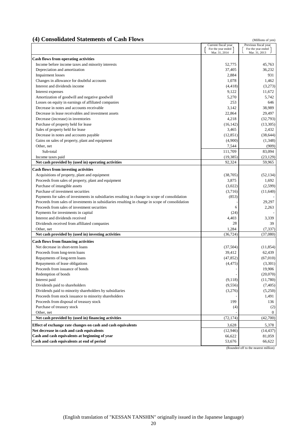# **(4) Consolidated Statements of Cash Flows** (Millions of yen)

|                                                                                                  | Current fiscal year<br>For the year ended | Previous fiscal year<br>For the year ended |
|--------------------------------------------------------------------------------------------------|-------------------------------------------|--------------------------------------------|
|                                                                                                  | Mar. 31, 2014                             | Mar. 31, 2013                              |
| <b>Cash flows from operating activities</b>                                                      |                                           |                                            |
| Income before income taxes and minority interests                                                | 52,775                                    | 45,763                                     |
| Depreciation and amortization                                                                    | 37,405                                    | 36,232                                     |
| <b>Impairment</b> losses                                                                         | 2,884                                     | 931                                        |
| Changes in allowance for doubtful accounts                                                       | 1,078                                     | 1,462                                      |
| Interest and dividends income                                                                    | (4, 418)                                  | (3,273)                                    |
| Interest expenses                                                                                | 9,122                                     | 11,672                                     |
| Amortization of goodwill and negative goodwill                                                   | 5,270                                     | 5,742                                      |
| Losses on equity in earnings of affiliated companies                                             | 253                                       | 646                                        |
| Decrease in notes and accounts receivable                                                        | 3,142                                     | 38,989                                     |
| Decrease in lease receivables and investment assets                                              | 22,864                                    | 29,497                                     |
| Decrease (increase) in inventories                                                               | 4,218                                     | (32,793)                                   |
| Purchase of property held for lease                                                              | (16, 142)                                 | (13,305)                                   |
| Sales of property held for lease                                                                 | 3,465                                     | 2,432                                      |
| Decrease in notes and accounts payable                                                           | (12, 851)                                 | (38, 644)                                  |
| Gains on sales of property, plant and equipment                                                  | (4,900)                                   | (1,348)                                    |
| Other, net                                                                                       | 7,544                                     | (909)                                      |
| Sub-total                                                                                        | 111,709                                   | 83,094                                     |
| Income taxes paid                                                                                | (19, 385)                                 | (23, 129)                                  |
| Net cash provided by (used in) operating activities                                              | 92,324                                    | 59,965                                     |
| <b>Cash flows from investing activities</b>                                                      |                                           |                                            |
| Acquisitions of property, plant and equipment                                                    | (38,705)                                  | (52, 134)                                  |
| Proceeds from sales of property, plant and equipment                                             | 3,875                                     | 1,692                                      |
| Purchase of intangible assets                                                                    | (3,022)                                   | (2,599)                                    |
| Purchase of investment securities                                                                | (3,716)                                   | (11,640)                                   |
| Payments for sales of investments in subsidiaries resulting in change in scope of consolidation  | (853)                                     |                                            |
| Proceeds from sales of investments in subsidiaries resulting in change in scope of consolidation |                                           | 29,297                                     |
| Proceeds from sales of investment securities                                                     | 6                                         | 2,263                                      |
| Payments for investments in capital                                                              | (24)                                      |                                            |
| Interest and dividends received                                                                  | 4,403                                     | 3,339                                      |
| Dividends received from affiliated companies                                                     | 28                                        | 39                                         |
| Other, net                                                                                       | 1,284                                     | (7, 337)                                   |
| Net cash provided by (used in) investing activities                                              | (36, 724)                                 | (37,080)                                   |
| <b>Cash flows from financing activities</b>                                                      |                                           |                                            |
| Net decrease in short-term loans                                                                 | (37,504)                                  | (11, 854)                                  |
| Proceeds from long-term loans                                                                    | 39,412                                    | 62,439                                     |
| Repayments of long-term loans                                                                    | (47, 852)                                 | (67,010)                                   |
| Repayments of lease obligations                                                                  | (4, 475)                                  | (3,301)                                    |
| Proceeds from issuance of bonds                                                                  |                                           | 19,906                                     |
| Redemption of bonds                                                                              |                                           | (20,070)                                   |
| Interest paid                                                                                    | (9,118)                                   | (11,780)                                   |
| Dividends paid to shareholders                                                                   | (9, 556)                                  | (7, 405)                                   |
| Dividends paid to minority shareholders by subsidiaries                                          | (3,276)                                   | (5,250)                                    |
| Proceeds from stock issuance to minority shareholders                                            |                                           | 1,491                                      |
| Proceeds from disposal of treasury stock                                                         | 199                                       | 136                                        |
| Purchase of treasury stock                                                                       | (4)                                       | (2)                                        |
| Other, net                                                                                       |                                           | $\Omega$                                   |
| Net cash provided by (used in) financing activities                                              | (72, 174)                                 | (42,700)                                   |
| Effect of exchange rate changes on cash and cash equivalents                                     | 3,628                                     | 5,378                                      |
| Net decrease in cash and cash equivalents                                                        | (12, 946)                                 | (14, 437)                                  |
| Cash and cash equivalents at beginning of year                                                   | 66,622                                    | 81,059                                     |
| Cash and cash equivalents at end of period                                                       | 53,676                                    | 66,622                                     |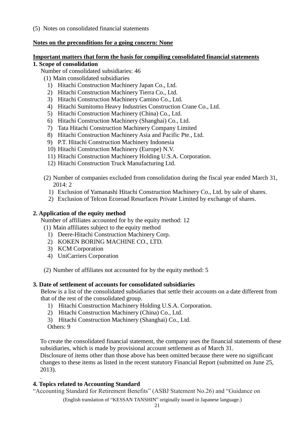(5) Notes on consolidated financial statements

# **Notes on the preconditions for a going concern: None**

# **Important matters that form the basis for compiling consolidated financial statements**

# **1. Scope of consolidation**

- Number of consolidated subsidiaries: 46
	- (1) Main consolidated subsidiaries
	- 1) Hitachi Construction Machinery Japan Co., Ltd.
	- 2) Hitachi Construction Machinery Tierra Co., Ltd.
	- 3) Hitachi Construction Machinery Camino Co., Ltd.
	- 4) Hitachi Sumitomo Heavy Industries Construction Crane Co., Ltd.
	- 5) Hitachi Construction Machinery (China) Co., Ltd.
	- 6) Hitachi Construction Machinery (Shanghai) Co., Ltd.
	- 7) Tata Hitachi Construction Machinery Company Limited
	- 8) Hitachi Construction Machinery Asia and Pacific Pte., Ltd.
	- 9) P.T. Hitachi Construction Machinery Indonesia
	- 10) Hitachi Construction Machinery (Europe) N.V.
	- 11) Hitachi Construction Machinery Holding U.S.A. Corporation.
	- 12) Hitachi Construction Truck Manufacturing Ltd.
	- (2) Number of companies excluded from consolidation during the fiscal year ended March 31,  $2014 \cdot 2$ 
		- 1) Exclusion of Yamanashi Hitachi Construction Machinery Co., Ltd. by sale of shares.
		- 2) Exclusion of Telcon Ecoroad Resurfaces Private Limited by exchange of shares.

# **2. Application of the equity method**

Number of affiliates accounted for by the equity method: 12

(1) Main affiliates subject to the equity method

- 1) Deere-Hitachi Construction Machinery Corp.
- 2) KOKEN BORING MACHINE CO., LTD.
- 3) KCM Corporation
- 4) UniCarriers Corporation
- (2) Number of affiliates not accounted for by the equity method: 5

# **3. Date of settlement of accounts for consolidated subsidiaries**

Below is a list of the consolidated subsidiaries that settle their accounts on a date different from that of the rest of the consolidated group.

- 1) Hitachi Construction Machinery Holding U.S.A. Corporation.
- 2) Hitachi Construction Machinery (China) Co., Ltd.
- 3) Hitachi Construction Machinery (Shanghai) Co., Ltd.
- Others: 9

To create the consolidated financial statement, the company uses the financial statements of these subsidiaries, which is made by provisional account settlement as of March 31.

Disclosure of items other than those above has been omitted because there were no significant changes to these items as listed in the recent statutory Financial Report (submitted on June 25, 2013). .

# **4. Topics related to Accounting Standard**

"Accounting Standard for Retirement Benefits" (ASBJ Statement No.26) and "Guidance on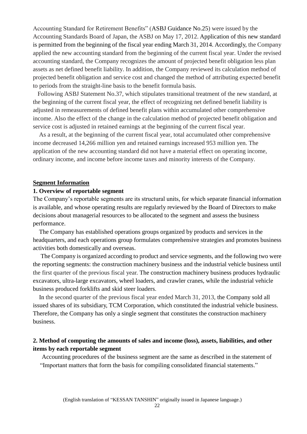Accounting Standard for Retirement Benefits" (ASBJ Guidance No.25) were issued by the Accounting Standards Board of Japan, the ASBJ on May 17, 2012. Application of this new standard is permitted from the beginning of the fiscal year ending March 31, 2014. Accordingly, the Company applied the new accounting standard from the beginning of the current fiscal year. Under the revised accounting standard, the Company recognizes the amount of projected benefit obligation less plan assets as net defined benefit liability. In addition, the Company reviewed its calculation method of projected benefit obligation and service cost and changed the method of attributing expected benefit to periods from the straight-line basis to the benefit formula basis.

 Following ASBJ Statement No.37, which stipulates transitional treatment of the new standard, at the beginning of the current fiscal year, the effect of recognizing net defined benefit liability is adjusted in remeasurements of defined benefit plans within accumulated other comprehensive income. Also the effect of the change in the calculation method of projected benefit obligation and service cost is adjusted in retained earnings at the beginning of the current fiscal year.

As a result, at the beginning of the current fiscal year, total accumulated other comprehensive income decreased 14,266 million yen and retained earnings increased 953 million yen. The application of the new accounting standard did not have a material effect on operating income, ordinary income, and income before income taxes and minority interests of the Company.

#### **Segment Information**

## **1. Overview of reportable segment**

The Company's reportable segments are its structural units, for which separate financial information is available, and whose operating results are regularly reviewed by the Board of Directors to make decisions about managerial resources to be allocated to the segment and assess the business performance.

The Company has established operations groups organized by products and services in the headquarters, and each operations group formulates comprehensive strategies and promotes business activities both domestically and overseas.

The Company is organized according to product and service segments, and the following two were the reporting segments: the construction machinery business and the industrial vehicle business until the first quarter of the previous fiscal year. The construction machinery business produces hydraulic excavators, ultra-large excavators, wheel loaders, and crawler cranes, while the industrial vehicle business produced forklifts and skid steer loaders.

In the second quarter of the previous fiscal year ended March 31, 2013, the Company sold all issued shares of its subsidiary, TCM Corporation, which constituted the industrial vehicle business. Therefore, the Company has only a single segment that constitutes the construction machinery business.

# **2. Method of computing the amounts of sales and income (loss), assets, liabilities, and other items by each reportable segment**

Accounting procedures of the business segment are the same as described in the statement of "Important matters that form the basis for compiling consolidated financial statements."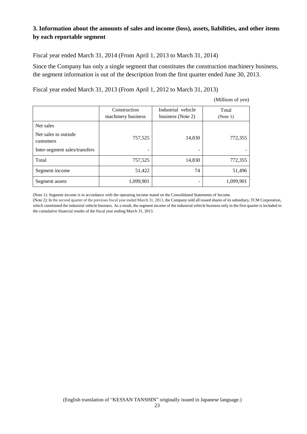# **3. Information about the amounts of sales and income (loss), assets, liabilities, and other items by each reportable segment**

Fiscal year ended March 31, 2014 (From April 1, 2013 to March 31, 2014)

Since the Company has only a single segment that constitutes the construction machinery business, the segment information is out of the description from the first quarter ended June 30, 2013.

Fiscal year ended March 31, 2013 (From April 1, 2012 to March 31, 2013)

|  | (Millions of yen) |  |
|--|-------------------|--|
|--|-------------------|--|

|                                                 | Construction<br>machinery business | Industrial vehicle<br>business (Note 2) | Total<br>(Note 1) |
|-------------------------------------------------|------------------------------------|-----------------------------------------|-------------------|
| Net sales<br>Net sales to outside.<br>customers | 757,525                            | 14,830                                  | 772,355           |
| Inter-segment sales/transfers                   | -                                  |                                         |                   |
| Total                                           | 757,525                            | 14,830                                  | 772,355           |
| Segment income                                  | 51,422                             | 74                                      | 51,496            |
| Segment assets                                  | 1,099,901                          |                                         | 1,099,901         |

(Note 1): Segment income is in accordance with the operating income stated on the Consolidated Statements of Income.

(Note 2): In the second quarter of the previous fiscal year ended March 31, 2013, the Company sold all issued shares of its subsidiary, TCM Corporation, which constituted the industrial vehicle business. As a result, the segment income of the industrial vehicle business only in the first quarter is included in the cumulative financial results of the fiscal year ending March 31, 2013.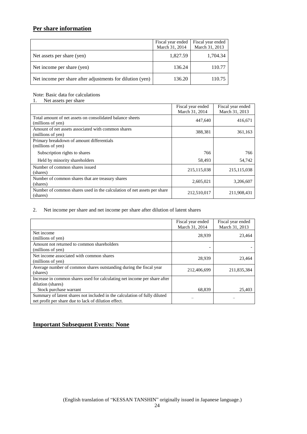# **Per share information**

|                                                           | Fiscal year ended<br>March 31, 2014 | Fiscal year ended<br>March 31, 2013 |
|-----------------------------------------------------------|-------------------------------------|-------------------------------------|
| Net assets per share (yen)                                | 1,827.59                            | 1,704.34                            |
| Net income per share (yen)                                | 136.24                              | 110.77                              |
| Net income per share after adjustments for dilution (yen) | 136.20                              | 110.75                              |

Note: Basic data for calculations

1. Net assets per share

|                                                                                     | Fiscal year ended<br>March 31, 2014 | Fiscal year ended<br>March 31, 2013 |
|-------------------------------------------------------------------------------------|-------------------------------------|-------------------------------------|
| Total amount of net assets on consolidated balance sheets<br>(millions of yen)      | 447,640                             | 416,671                             |
| Amount of net assets associated with common shares<br>(millions of yen)             | 388,381                             | 361,163                             |
| Primary breakdown of amount differentials<br>(millions of yen)                      |                                     |                                     |
| Subscription rights to shares                                                       | 766                                 | 766                                 |
| Held by minority shareholders                                                       | 58,493                              | 54,742                              |
| Number of common shares issued<br>(shares)                                          | 215, 115, 038                       | 215, 115, 038                       |
| Number of common shares that are treasury shares<br>(shares)                        | 2,605,021                           | 3,206,607                           |
| Number of common shares used in the calculation of net assets per share<br>(shares) | 212,510,017                         | 211,908,431                         |

#### 2. Net income per share and net income per share after dilution of latent shares

|                                                                                                                                   | Fiscal year ended<br>March 31, 2014 | Fiscal year ended<br>March 31, 2013 |
|-----------------------------------------------------------------------------------------------------------------------------------|-------------------------------------|-------------------------------------|
| Net income<br>(millions of yen)                                                                                                   | 28,939                              | 23.464                              |
| Amount not returned to common shareholders<br>(millions of yen)                                                                   |                                     |                                     |
| Net income associated with common shares<br>(millions of yen)                                                                     | 28,939                              | 23,464                              |
| Average number of common shares outstanding during the fiscal year<br>(shares)                                                    | 212,406,699                         | 211,835,384                         |
| Increase in common shares used for calculating net income per share after<br>dilution (shares)                                    |                                     |                                     |
| Stock purchase warrant                                                                                                            | 68,839                              | 25,403                              |
| Summary of latent shares not included in the calculation of fully diluted<br>net profit per share due to lack of dilution effect. |                                     |                                     |

# **Important Subsequent Events: None**